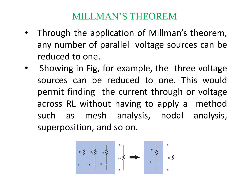# MILLMAN'S THEOREM

- Through the application of Millman's theorem, any number of parallel voltage sources can be reduced to one.
- Showing in Fig, for example, the three voltage sources can be reduced to one. This would permit finding the current through or voltage across RL without having to apply a method such as mesh analysis, nodal analysis, superposition, and so on.

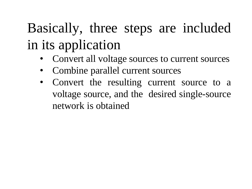# Basically, three steps are included in its application

- Convert all voltage sources to current sources
- Combine parallel current sources
- Convert the resulting current source to a voltage source, and the desired single-source network is obtained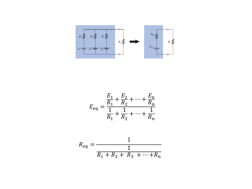

$$
E_{eq} = \frac{\frac{E_1}{R_1} + \frac{E_2}{R_2} + \dots + \frac{E_n}{R_n}}{\frac{1}{R_1} + \frac{1}{R_2} + \dots + \frac{1}{R_n}}
$$

$$
R_{eq} = \frac{1}{\frac{1}{R_1 + R_2 + R_3 + \dots + R_n}}
$$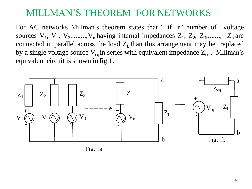For AC networks Millman's theorem states that " if 'n' number of voltage sources  $V_1$ ,  $V_2$ ,  $V_3$ ,......., $V_n$  having internal impedances  $Z_1$ ,  $Z_2$ ,  $Z_3$ ,......,  $Z_n$  are connected in parallel across the load  $Z_L$  than this arrangement may be replaced by a single voltage source  $V_{eq}$  in series with equivalent impedance  $Z_{eq}$ . Millman's equivalent circuit is shown in fig.1.



Fig. 1a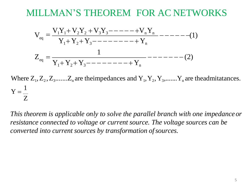− − − − − − − (2) Y1+ Y2+ Y3− − − − − − − − +Y<sup>n</sup> 1 − − − − − −(1) Y1+ Y2+ Y3− − − − − − − − + Y<sup>n</sup> = <sup>V</sup>1Y1<sup>+</sup> <sup>V</sup>2Y<sup>2</sup> <sup>+</sup> <sup>V</sup>3Y3<sup>−</sup> <sup>−</sup> <sup>−</sup> <sup>−</sup> <sup>−</sup> <sup>+</sup>VnY<sup>n</sup> <sup>V</sup> Z eq = eq

Where  $Z_1, Z_2, Z_3, \ldots, Z_n$  are theimpedances and  $Y_1, Y_2, Y_3, \ldots, Y_n$  are theadmitatances.  $Y =$ 1 Z

*This theorem is applicable only to solve the parallel branch with one impedanceor resistance connected to voltage or current source. The voltage sources can be converted into current sources by transformation ofsources.*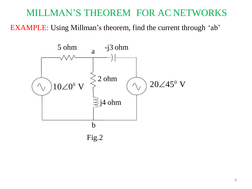EXAMPLE: Using Millman's theorem, find the current through 'ab'

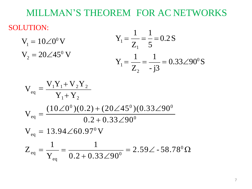#### SOLUTION:

 $V_2 = 20\angle 45^0$  V  $V_1 = 10 \angle 0^0 V$  $Z$ ,  $-j3$ 1 1 1 1 2  $Y_1 = \frac{1}{7} = \frac{1}{12} = 0.33\angle 90^0 S$ 1  $Y_1 = \frac{1}{7} = \frac{1}{5} = 0.2$  S  $Z_1$  5

$$
V_{eq} = \frac{V_1 Y_1 + V_2 Y_2}{Y_1 + Y_2}
$$
  
\n
$$
V_{eq} = \frac{(10\angle 0^0)(0.2) + (20\angle 45^0)(0.33\angle 90^0}{0.2 + 0.33\angle 90^0}
$$
  
\n
$$
V_{eq} = 13.94\angle 60.97^0 V
$$
  
\n
$$
Z_{eq} = \frac{1}{Y_{eq}} = \frac{1}{0.2 + 0.33\angle 90^0} = 2.59\angle -58.78^0 \Omega
$$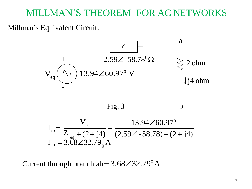#### Millman's Equivalent Circuit:



Current through branch ab =  $3.68\angle 32.79^{\circ}$  A